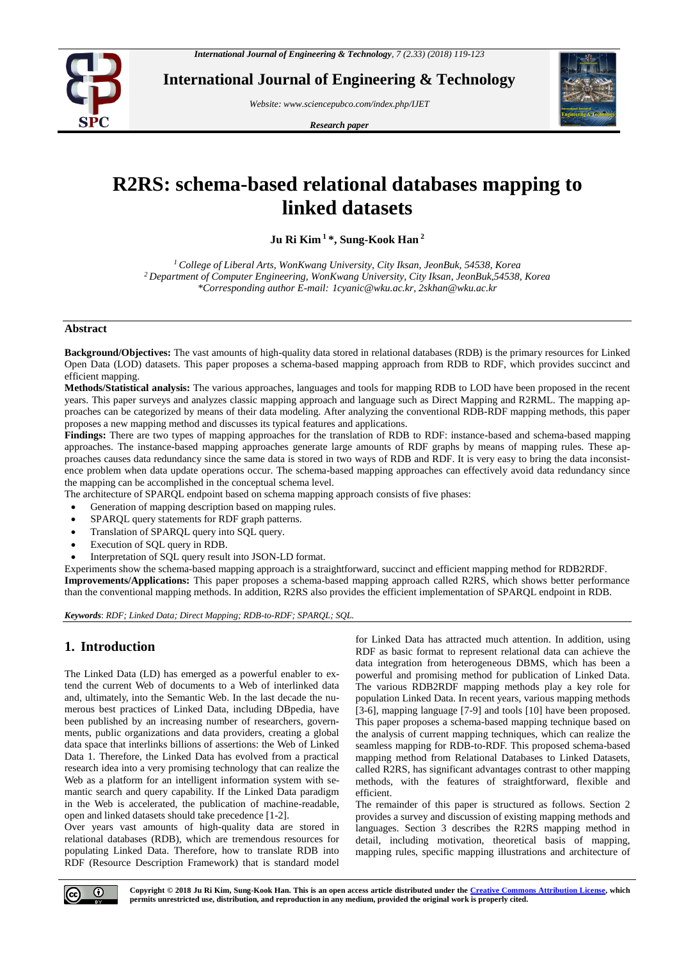

**International Journal of Engineering & Technology**

*Website: www.sciencepubco.com/index.php/IJET* 

*Research paper*



# **R2RS: schema-based relational databases mapping to linked datasets**

**Ju Ri Kim <sup>1</sup>\*, Sung-Kook Han <sup>2</sup>**

*<sup>1</sup>College of Liberal Arts, WonKwang University, City Iksan, JeonBuk, 54538, Korea <sup>2</sup>Department of Computer Engineering, WonKwang University, City Iksan, JeonBuk,54538, Korea \*Corresponding author E-mail: 1cyanic@wku.ac.kr, 2skhan@wku.ac.kr*

#### **Abstract**

**Background/Objectives:** The vast amounts of high-quality data stored in relational databases (RDB) is the primary resources for Linked Open Data (LOD) datasets. This paper proposes a schema-based mapping approach from RDB to RDF, which provides succinct and efficient mapping.

**Methods/Statistical analysis:** The various approaches, languages and tools for mapping RDB to LOD have been proposed in the recent years. This paper surveys and analyzes classic mapping approach and language such as Direct Mapping and R2RML. The mapping approaches can be categorized by means of their data modeling. After analyzing the conventional RDB-RDF mapping methods, this paper proposes a new mapping method and discusses its typical features and applications.

**Findings:** There are two types of mapping approaches for the translation of RDB to RDF: instance-based and schema-based mapping approaches. The instance-based mapping approaches generate large amounts of RDF graphs by means of mapping rules. These approaches causes data redundancy since the same data is stored in two ways of RDB and RDF. It is very easy to bring the data inconsistence problem when data update operations occur. The schema-based mapping approaches can effectively avoid data redundancy since the mapping can be accomplished in the conceptual schema level.

The architecture of SPARQL endpoint based on schema mapping approach consists of five phases:

- Generation of mapping description based on mapping rules.
- SPARQL query statements for RDF graph patterns.
- Translation of SPARQL query into SQL query.
- Execution of SQL query in RDB.
- Interpretation of SQL query result into JSON-LD format.

Experiments show the schema-based mapping approach is a straightforward, succinct and efficient mapping method for RDB2RDF. **Improvements/Applications:** This paper proposes a schema-based mapping approach called R2RS, which shows better performance than the conventional mapping methods. In addition, R2RS also provides the efficient implementation of SPARQL endpoint in RDB.

*Keywords*: *RDF; Linked Data; Direct Mapping; RDB-to-RDF; SPARQL; SQL.*

# **1. Introduction**

The Linked Data (LD) has emerged as a powerful enabler to extend the current Web of documents to a Web of interlinked data and, ultimately, into the Semantic Web. In the last decade the numerous best practices of Linked Data, including DBpedia, have been published by an increasing number of researchers, governments, public organizations and data providers, creating a global data space that interlinks billions of assertions: the Web of Linked Data 1. Therefore, the Linked Data has evolved from a practical research idea into a very promising technology that can realize the Web as a platform for an intelligent information system with semantic search and query capability. If the Linked Data paradigm in the Web is accelerated, the publication of machine-readable, open and linked datasets should take precedence [1-2].

Over years vast amounts of high-quality data are stored in relational databases (RDB), which are tremendous resources for populating Linked Data. Therefore, how to translate RDB into RDF (Resource Description Framework) that is standard model for Linked Data has attracted much attention. In addition, using RDF as basic format to represent relational data can achieve the data integration from heterogeneous DBMS, which has been a powerful and promising method for publication of Linked Data. The various RDB2RDF mapping methods play a key role for population Linked Data. In recent years, various mapping methods [3-6], mapping language [7-9] and tools [10] have been proposed. This paper proposes a schema-based mapping technique based on the analysis of current mapping techniques, which can realize the seamless mapping for RDB-to-RDF. This proposed schema-based mapping method from Relational Databases to Linked Datasets, called R2RS, has significant advantages contrast to other mapping methods, with the features of straightforward, flexible and efficient.

The remainder of this paper is structured as follows. Section 2 provides a survey and discussion of existing mapping methods and languages. Section 3 describes the R2RS mapping method in detail, including motivation, theoretical basis of mapping, mapping rules, specific mapping illustrations and architecture of

**Copyright © 2018 Ju Ri Kim, Sung-Kook Han. This is an open access article distributed under th[e Creative Commons Attribution License,](http://creativecommons.org/licenses/by/3.0/) which permits unrestricted use, distribution, and reproduction in any medium, provided the original work is properly cited.**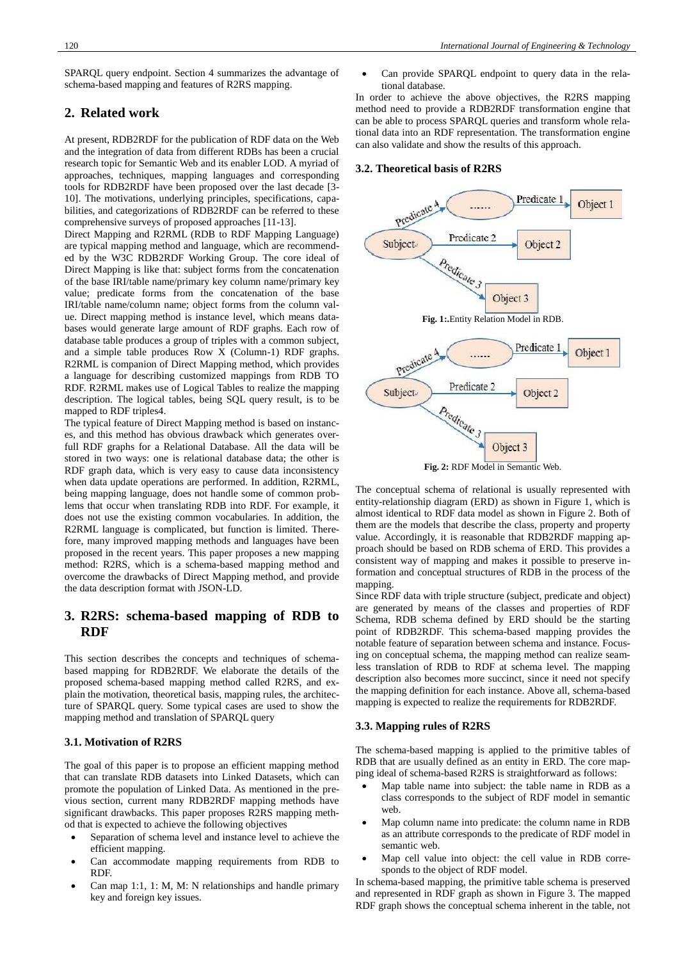SPARQL query endpoint. Section 4 summarizes the advantage of schema-based mapping and features of R2RS mapping.

# **2. Related work**

At present, RDB2RDF for the publication of RDF data on the Web and the integration of data from different RDBs has been a crucial research topic for Semantic Web and its enabler LOD. A myriad of approaches, techniques, mapping languages and corresponding tools for RDB2RDF have been proposed over the last decade [3- 10]. The motivations, underlying principles, specifications, capabilities, and categorizations of RDB2RDF can be referred to these comprehensive surveys of proposed approaches [11-13].

Direct Mapping and R2RML (RDB to RDF Mapping Language) are typical mapping method and language, which are recommended by the W3C RDB2RDF Working Group. The core ideal of Direct Mapping is like that: subject forms from the concatenation of the base IRI/table name/primary key column name/primary key value; predicate forms from the concatenation of the base IRI/table name/column name; object forms from the column value. Direct mapping method is instance level, which means databases would generate large amount of RDF graphs. Each row of database table produces a group of triples with a common subject, and a simple table produces Row X (Column-1) RDF graphs. R2RML is companion of Direct Mapping method, which provides a language for describing customized mappings from RDB TO RDF. R2RML makes use of Logical Tables to realize the mapping description. The logical tables, being SQL query result, is to be mapped to RDF triples4.

The typical feature of Direct Mapping method is based on instances, and this method has obvious drawback which generates overfull RDF graphs for a Relational Database. All the data will be stored in two ways: one is relational database data; the other is RDF graph data, which is very easy to cause data inconsistency when data update operations are performed. In addition, R2RML, being mapping language, does not handle some of common problems that occur when translating RDB into RDF. For example, it does not use the existing common vocabularies. In addition, the R2RML language is complicated, but function is limited. Therefore, many improved mapping methods and languages have been proposed in the recent years. This paper proposes a new mapping method: R2RS, which is a schema-based mapping method and overcome the drawbacks of Direct Mapping method, and provide the data description format with JSON-LD.

# **3. R2RS: schema-based mapping of RDB to RDF**

This section describes the concepts and techniques of schemabased mapping for RDB2RDF. We elaborate the details of the proposed schema-based mapping method called R2RS, and explain the motivation, theoretical basis, mapping rules, the architecture of SPARQL query. Some typical cases are used to show the mapping method and translation of SPARQL query

### **3.1. Motivation of R2RS**

The goal of this paper is to propose an efficient mapping method that can translate RDB datasets into Linked Datasets, which can promote the population of Linked Data. As mentioned in the previous section, current many RDB2RDF mapping methods have significant drawbacks. This paper proposes R2RS mapping method that is expected to achieve the following objectives

- Separation of schema level and instance level to achieve the efficient mapping.
- Can accommodate mapping requirements from RDB to RDF.
- Can map 1:1, 1: M, M: N relationships and handle primary key and foreign key issues.

 Can provide SPARQL endpoint to query data in the relational database.

In order to achieve the above objectives, the R2RS mapping method need to provide a RDB2RDF transformation engine that can be able to process SPARQL queries and transform whole relational data into an RDF representation. The transformation engine can also validate and show the results of this approach.

#### **3.2. Theoretical basis of R2RS**



The conceptual schema of relational is usually represented with entity-relationship diagram (ERD) as shown in Figure 1, which is almost identical to RDF data model as shown in Figure 2. Both of them are the models that describe the class, property and property value. Accordingly, it is reasonable that RDB2RDF mapping approach should be based on RDB schema of ERD. This provides a consistent way of mapping and makes it possible to preserve information and conceptual structures of RDB in the process of the mapping.

Since RDF data with triple structure (subject, predicate and object) are generated by means of the classes and properties of RDF Schema, RDB schema defined by ERD should be the starting point of RDB2RDF. This schema-based mapping provides the notable feature of separation between schema and instance. Focusing on conceptual schema, the mapping method can realize seamless translation of RDB to RDF at schema level. The mapping description also becomes more succinct, since it need not specify the mapping definition for each instance. Above all, schema-based mapping is expected to realize the requirements for RDB2RDF.

#### **3.3. Mapping rules of R2RS**

The schema-based mapping is applied to the primitive tables of RDB that are usually defined as an entity in ERD. The core mapping ideal of schema-based R2RS is straightforward as follows:

- Map table name into subject: the table name in RDB as a class corresponds to the subject of RDF model in semantic web.
- Map column name into predicate: the column name in RDB as an attribute corresponds to the predicate of RDF model in semantic web.
- Map cell value into object: the cell value in RDB corresponds to the object of RDF model.

In schema-based mapping, the primitive table schema is preserved and represented in RDF graph as shown in Figure 3. The mapped RDF graph shows the conceptual schema inherent in the table, not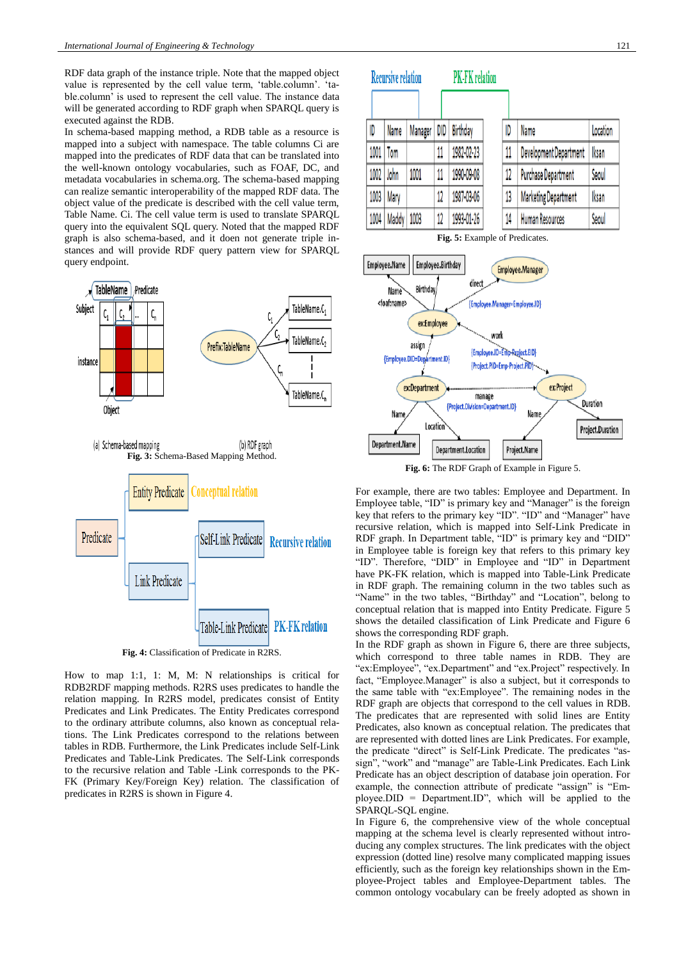RDF data graph of the instance triple. Note that the mapped object value is represented by the cell value term, 'table.column'. 'table.column' is used to represent the cell value. The instance data will be generated according to RDF graph when SPARQL query is executed against the RDB.

In schema-based mapping method, a RDB table as a resource is mapped into a subject with namespace. The table columns Ci are mapped into the predicates of RDF data that can be translated into the well-known ontology vocabularies, such as FOAF, DC, and metadata vocabularies in schema.org. The schema-based mapping can realize semantic interoperability of the mapped RDF data. The object value of the predicate is described with the cell value term, Table Name. Ci. The cell value term is used to translate SPARQL query into the equivalent SQL query. Noted that the mapped RDF graph is also schema-based, and it doen not generate triple instances and will provide RDF query pattern view for SPARQL query endpoint.



How to map 1:1, 1: M, M: N relationships is critical for RDB2RDF mapping methods. R2RS uses predicates to handle the relation mapping. In R2RS model, predicates consist of Entity Predicates and Link Predicates. The Entity Predicates correspond to the ordinary attribute columns, also known as conceptual relations. The Link Predicates correspond to the relations between tables in RDB. Furthermore, the Link Predicates include Self-Link Predicates and Table-Link Predicates. The Self-Link corresponds to the recursive relation and Table -Link corresponds to the PK-FK (Primary Key/Foreign Key) relation. The classification of predicates in R2RS is shown in Figure 4.

| <b>Recursive relation</b> |       |         |     | <b>PK-FK</b> relation |    |                             |          |
|---------------------------|-------|---------|-----|-----------------------|----|-----------------------------|----------|
|                           |       |         |     |                       |    |                             |          |
| ID                        | Name  | Manager | DID | Birthday              | ID | Name                        | Location |
| 1001                      | Tom   |         | 11  | 1982-02-23            | 11 | Development Department      | Iksan    |
| 1002                      | John  | 1001    | 11  | 1990-09-08            | 12 | <b>Purchase Department</b>  | Seoul    |
| 1003                      | Mary  |         | 12  | 1987-03-06            | 13 | <b>Marketing Department</b> | Iksan    |
| 1004                      | Maddy | 1003    | 12  | 1993-01-26            | 14 | Human Resources             | Seoul    |

**Fig. 5:** Example of Predicates.



**Fig. 6:** The RDF Graph of Example in Figure 5.

For example, there are two tables: Employee and Department. In Employee table, "ID" is primary key and "Manager" is the foreign key that refers to the primary key "ID". "ID" and "Manager" have recursive relation, which is mapped into Self-Link Predicate in RDF graph. In Department table, "ID" is primary key and "DID" in Employee table is foreign key that refers to this primary key "ID". Therefore, "DID" in Employee and "ID" in Department have PK-FK relation, which is mapped into Table-Link Predicate in RDF graph. The remaining column in the two tables such as "Name" in the two tables, "Birthday" and "Location", belong to conceptual relation that is mapped into Entity Predicate. Figure 5 shows the detailed classification of Link Predicate and Figure 6 shows the corresponding RDF graph.

In the RDF graph as shown in Figure 6, there are three subjects, which correspond to three table names in RDB. They are "ex:Employee", "ex.Department" and "ex.Project" respectively. In fact, "Employee.Manager" is also a subject, but it corresponds to the same table with "ex:Employee". The remaining nodes in the RDF graph are objects that correspond to the cell values in RDB. The predicates that are represented with solid lines are Entity Predicates, also known as conceptual relation. The predicates that are represented with dotted lines are Link Predicates. For example, the predicate "direct" is Self-Link Predicate. The predicates "assign", "work" and "manage" are Table-Link Predicates. Each Link Predicate has an object description of database join operation. For example, the connection attribute of predicate "assign" is "Employee.DID = Department.ID", which will be applied to the SPARQL-SQL engine.

In Figure 6, the comprehensive view of the whole conceptual mapping at the schema level is clearly represented without introducing any complex structures. The link predicates with the object expression (dotted line) resolve many complicated mapping issues efficiently, such as the foreign key relationships shown in the Employee-Project tables and Employee-Department tables. The common ontology vocabulary can be freely adopted as shown in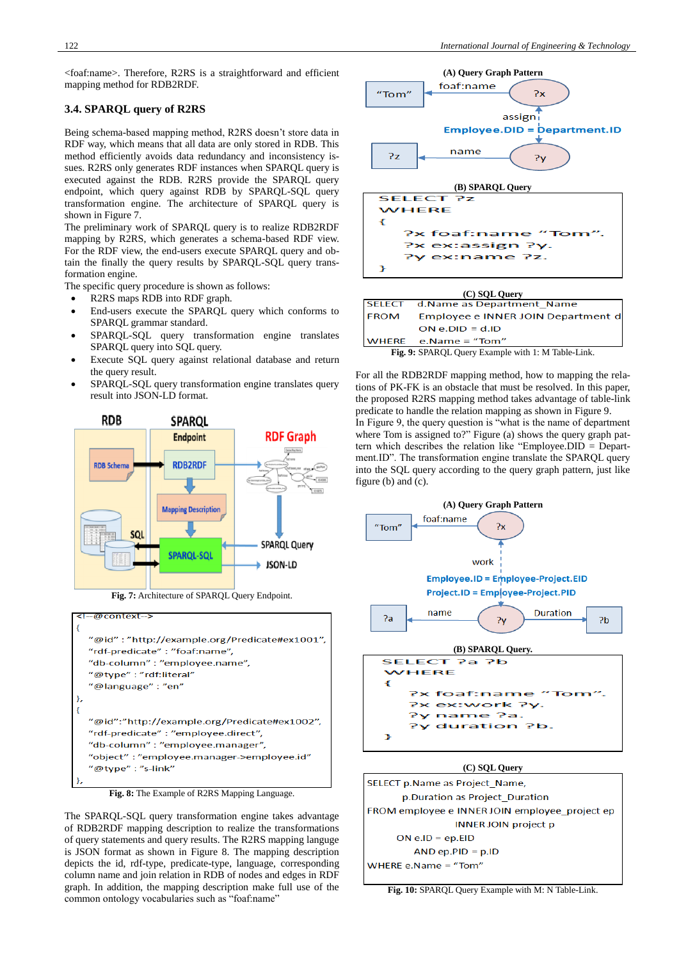<foaf:name>. Therefore, R2RS is a straightforward and efficient mapping method for RDB2RDF.

## **3.4. SPARQL query of R2RS**

Being schema-based mapping method, R2RS doesn't store data in RDF way, which means that all data are only stored in RDB. This method efficiently avoids data redundancy and inconsistency issues. R2RS only generates RDF instances when SPARQL query is executed against the RDB. R2RS provide the SPARQL query endpoint, which query against RDB by SPARQL-SQL query transformation engine. The architecture of SPARQL query is shown in Figure 7.

The preliminary work of SPARQL query is to realize RDB2RDF mapping by R2RS, which generates a schema-based RDF view. For the RDF view, the end-users execute SPARQL query and obtain the finally the query results by SPARQL-SQL query transformation engine.

The specific query procedure is shown as follows:

- R2RS maps RDB into RDF graph.
- End-users execute the SPARQL query which conforms to SPARQL grammar standard.
- SPARQL-SQL query transformation engine translates SPARQL query into SQL query.
- Execute SQL query against relational database and return the query result.
- SPARQL-SQL query transformation engine translates query result into JSON-LD format.



**Fig. 7:** Architecture of SPARQL Query Endpoint.





The SPARQL-SQL query transformation engine takes advantage of RDB2RDF mapping description to realize the transformations of query statements and query results. The R2RS mapping languge is JSON format as shown in Figure 8. The mapping description depicts the id, rdf-type, predicate-type, language, corresponding column name and join relation in RDB of nodes and edges in RDF graph. In addition, the mapping description make full use of the common ontology vocabularies such as "foaf:name"





**Fig. 9:** SPARQL Query Example with 1: M Table-Link.

For all the RDB2RDF mapping method, how to mapping the relations of PK-FK is an obstacle that must be resolved. In this paper, the proposed R2RS mapping method takes advantage of table-link predicate to handle the relation mapping as shown in Figure 9. In Figure 9, the query question is "what is the name of department where Tom is assigned to?" Figure (a) shows the query graph pattern which describes the relation like "Employee.DID = Department.ID". The transformation engine translate the SPARQL query into the SQL query according to the query graph pattern, just like figure (b) and (c).



SELECT p.Name as Project Name, p.Duration as Project Duration FROM employee e INNER JOIN employee\_project ep **INNER JOIN project p**  $ON$  e.ID = ep.EID  $AND ep.PID = p.ID$ WHERE e.Name = "Tom"